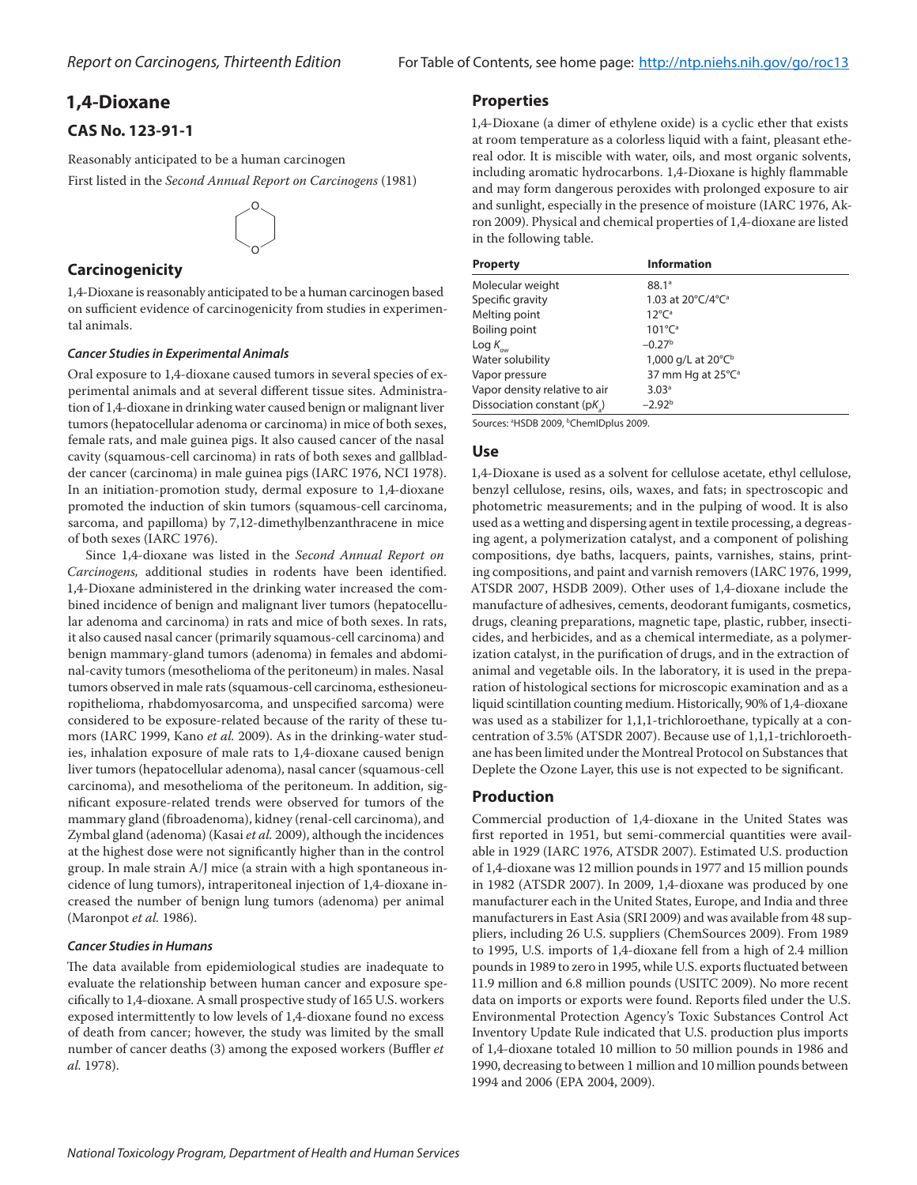# **1,4-Dioxane**

# **CAS No. 123-91-1**

Reasonably anticipated to be a human carcinogen

First listed in the *Second Annual Report on Carcinogens* (1981)



# **Carcinogenicity**

1,4-Dioxane is reasonably anticipated to be a human carcinogen based on sufficient evidence of carcinogenicity from studies in experimental animals.

#### *Cancer Studies in Experimental Animals*

Oral exposure to 1,4-dioxane caused tumors in several species of experimental animals and at several different tissue sites. Administration of 1,4-dioxane in drinking water caused benign or malignant liver tumors (hepatocellular adenoma or carcinoma) in mice of both sexes, female rats, and male guinea pigs. It also caused cancer of the nasal cavity (squamous-cell carcinoma) in rats of both sexes and gallbladder cancer (carcinoma) in male guinea pigs (IARC 1976, NCI 1978). In an initiation-promotion study, dermal exposure to 1,4-dioxane promoted the induction of skin tumors (squamous-cell carcinoma, sarcoma, and papilloma) by 7,12-dimethylbenzanthracene in mice of both sexes (IARC 1976).

Since 1,4-dioxane was listed in the *Second Annual Report on Carcinogens,* additional studies in rodents have been identified. 1,4-Dioxane administered in the drinking water increased the combined incidence of benign and malignant liver tumors (hepatocellular adenoma and carcinoma) in rats and mice of both sexes. In rats, it also caused nasal cancer (primarily squamous-cell carcinoma) and benign mammary-gland tumors (adenoma) in females and abdominal-cavity tumors (mesothelioma of the peritoneum) in males. Nasal tumors observed in male rats (squamous-cell carcinoma, esthesioneuropithelioma, rhabdomyosarcoma, and unspecified sarcoma) were considered to be exposure-related because of the rarity of these tumors (IARC 1999, Kano *et al.* 2009). As in the drinking-water studies, inhalation exposure of male rats to 1,4-dioxane caused benign liver tumors (hepatocellular adenoma), nasal cancer (squamous-cell carcinoma), and mesothelioma of the peritoneum. In addition, significant exposure-related trends were observed for tumors of the mammary gland (fibroadenoma), kidney (renal-cell carcinoma), and Zymbal gland (adenoma) (Kasai *et al.* 2009), although the incidences at the highest dose were not significantly higher than in the control group. In male strain A/J mice (a strain with a high spontaneous incidence of lung tumors), intraperitoneal injection of 1,4-dioxane increased the number of benign lung tumors (adenoma) per animal (Maronpot *et al.* 1986).

#### *Cancer Studies in Humans*

The data available from epidemiological studies are inadequate to evaluate the relationship between human cancer and exposure specifically to 1,4-dioxane. A small prospective study of 165 U.S. workers exposed intermittently to low levels of 1,4-dioxane found no excess of death from cancer; however, the study was limited by the small number of cancer deaths (3) among the exposed workers (Buffler *et al.* 1978).

## **Properties**

1,4-Dioxane (a dimer of ethylene oxide) is a cyclic ether that exists at room temperature as a colorless liquid with a faint, pleasant ethereal odor. It is miscible with water, oils, and most organic solvents, including aromatic hydrocarbons. 1,4-Dioxane is highly flammable and may form dangerous peroxides with prolonged exposure to air and sunlight, especially in the presence of moisture (IARC 1976, Akron 2009). Physical and chemical properties of 1,4-dioxane are listed in the following table.

| <b>Property</b>               | <b>Information</b>                 |
|-------------------------------|------------------------------------|
| Molecular weight              | 88.1 <sup>a</sup>                  |
| Specific gravity              | 1.03 at 20°C/4°C <sup>a</sup>      |
| Melting point                 | $12^{\circ}C^{\circ}$              |
| Boiling point                 | $101^{\circ}C^{\circ}$             |
| Log $K_{\alpha\alpha}$        | $-0.27b$                           |
| Water solubility              | 1,000 g/L at $20^{\circ}C^{\circ}$ |
| Vapor pressure                | 37 mm Hg at 25°C <sup>a</sup>      |
| Vapor density relative to air | 3.03 <sup>a</sup>                  |
| Dissociation constant (pK)    | $-2.92b$                           |

Sources: <sup>a</sup>HSDB 2009, <sup>b</sup>ChemIDplus 2009.

## **Use**

1,4-Dioxane is used as a solvent for cellulose acetate, ethyl cellulose, benzyl cellulose, resins, oils, waxes, and fats; in spectroscopic and photometric measurements; and in the pulping of wood. It is also used as a wetting and dispersing agent in textile processing, a degreasing agent, a polymerization catalyst, and a component of polishing compositions, dye baths, lacquers, paints, varnishes, stains, printing compositions, and paint and varnish removers (IARC 1976, 1999, ATSDR 2007, HSDB 2009). Other uses of 1,4-dioxane include the manufacture of adhesives, cements, deodorant fumigants, cosmetics, drugs, cleaning preparations, magnetic tape, plastic, rubber, insecticides, and herbicides, and as a chemical intermediate, as a polymerization catalyst, in the purification of drugs, and in the extraction of animal and vegetable oils. In the laboratory, it is used in the preparation of histological sections for microscopic examination and as a liquid scintillation counting medium. Historically, 90% of 1,4-dioxane was used as a stabilizer for 1,1,1-trichloroethane, typically at a concentration of 3.5% (ATSDR 2007). Because use of 1,1,1-trichloroethane has been limited under the Montreal Protocol on Substances that Deplete the Ozone Layer, this use is not expected to be significant.

# **Production**

Commercial production of 1,4-dioxane in the United States was first reported in 1951, but semi-commercial quantities were available in 1929 (IARC 1976, ATSDR 2007). Estimated U.S. production of 1,4-dioxane was 12 million pounds in 1977 and 15 million pounds in 1982 (ATSDR 2007). In 2009, 1,4-dioxane was produced by one manufacturer each in the United States, Europe, and India and three manufacturers in East Asia (SRI 2009) and was available from 48 suppliers, including 26 U.S. suppliers (ChemSources 2009). From 1989 to 1995, U.S. imports of 1,4-dioxane fell from a high of 2.4 million pounds in 1989 to zero in 1995, while U.S. exports fluctuated between 11.9 million and 6.8 million pounds (USITC 2009). No more recent data on imports or exports were found. Reports filed under the U.S. Environmental Protection Agency's Toxic Substances Control Act Inventory Update Rule indicated that U.S. production plus imports of 1,4-dioxane totaled 10 million to 50 million pounds in 1986 and 1990, decreasing to between 1 million and 10 million pounds between 1994 and 2006 (EPA 2004, 2009).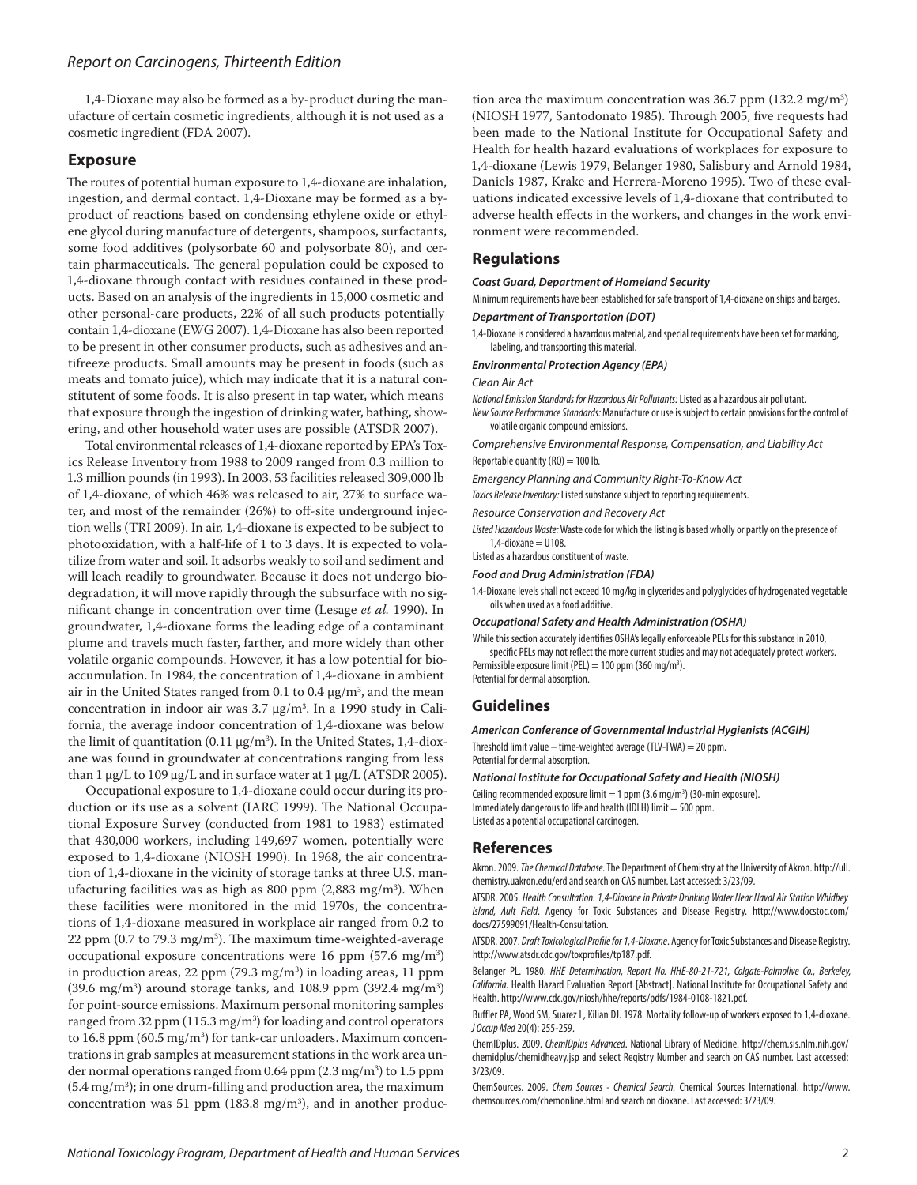1,4-Dioxane may also be formed as a by-product during the manufacture of certain cosmetic ingredients, although it is not used as a cosmetic ingredient (FDA 2007).

### **Exposure**

The routes of potential human exposure to 1,4-dioxane are inhalation, ingestion, and dermal contact. 1,4-Dioxane may be formed as a byproduct of reactions based on condensing ethylene oxide or ethylene glycol during manufacture of detergents, shampoos, surfactants, some food additives (polysorbate 60 and polysorbate 80), and certain pharmaceuticals. The general population could be exposed to 1,4-dioxane through contact with residues contained in these products. Based on an analysis of the ingredients in 15,000 cosmetic and other personal-care products, 22% of all such products potentially contain 1,4-dioxane (EWG 2007). 1,4-Dioxane has also been reported to be present in other consumer products, such as adhesives and antifreeze products. Small amounts may be present in foods (such as meats and tomato juice), which may indicate that it is a natural constitutent of some foods. It is also present in tap water, which means that exposure through the ingestion of drinking water, bathing, showering, and other household water uses are possible (ATSDR 2007).

Total environmental releases of 1,4-dioxane reported by EPA's Toxics Release Inventory from 1988 to 2009 ranged from 0.3 million to 1.3 million pounds (in 1993). In 2003, 53 facilities released 309,000 lb of 1,4-dioxane, of which 46% was released to air, 27% to surface water, and most of the remainder (26%) to off-site underground injection wells (TRI 2009). In air, 1,4-dioxane is expected to be subject to photooxidation, with a half-life of 1 to 3 days. It is expected to volatilize from water and soil. It adsorbs weakly to soil and sediment and will leach readily to groundwater. Because it does not undergo biodegradation, it will move rapidly through the subsurface with no significant change in concentration over time (Lesage *et al.* 1990). In groundwater, 1,4-dioxane forms the leading edge of a contaminant plume and travels much faster, farther, and more widely than other volatile organic compounds. However, it has a low potential for bioaccumulation. In 1984, the concentration of 1,4-dioxane in ambient air in the United States ranged from 0.1 to 0.4 μg/m<sup>3</sup>, and the mean concentration in indoor air was 3.7 μg/m3 . In a 1990 study in California, the average indoor concentration of 1,4-dioxane was below the limit of quantitation (0.11 μg/m3 ). In the United States, 1,4-dioxane was found in groundwater at concentrations ranging from less than 1 μg/L to 109 μg/L and in surface water at 1 μg/L (ATSDR 2005).

Occupational exposure to 1,4-dioxane could occur during its production or its use as a solvent (IARC 1999). The National Occupational Exposure Survey (conducted from 1981 to 1983) estimated that 430,000 workers, including 149,697 women, potentially were exposed to 1,4-dioxane (NIOSH 1990). In 1968, the air concentration of 1,4-dioxane in the vicinity of storage tanks at three U.S. manufacturing facilities was as high as 800 ppm (2,883 mg/m3 ). When these facilities were monitored in the mid 1970s, the concentrations of 1,4-dioxane measured in workplace air ranged from 0.2 to 22 ppm (0.7 to 79.3 mg/m3 ). The maximum time-weighted-average occupational exposure concentrations were  $16$  ppm  $(57.6 \text{ mg/m}^3)$ in production areas, 22 ppm (79.3 mg/m3 ) in loading areas, 11 ppm  $(39.6 \text{ mg/m}^3)$  around storage tanks, and 108.9 ppm  $(392.4 \text{ mg/m}^3)$ for point-source emissions. Maximum personal monitoring samples ranged from 32 ppm (115.3 mg/m3 ) for loading and control operators to 16.8 ppm (60.5 mg/m<sup>3</sup>) for tank-car unloaders. Maximum concentrations in grab samples at measurement stations in the work area under normal operations ranged from 0.64 ppm (2.3 mg/m3 ) to 1.5 ppm  $(5.4 \,\mathrm{mg/m^3})$ ; in one drum-filling and production area, the maximum concentration was 51 ppm  $(183.8 \text{ mg/m}^3)$ , and in another produc-

tion area the maximum concentration was 36.7 ppm (132.2 mg/m3 ) (NIOSH 1977, Santodonato 1985). Through 2005, five requests had been made to the National Institute for Occupational Safety and Health for health hazard evaluations of workplaces for exposure to 1,4-dioxane (Lewis 1979, Belanger 1980, Salisbury and Arnold 1984, Daniels 1987, Krake and Herrera-Moreno 1995). Two of these evaluations indicated excessive levels of 1,4-dioxane that contributed to adverse health effects in the workers, and changes in the work environment were recommended.

### **Regulations**

*Coast Guard, Department of Homeland Security*

Minimum requirements have been established for safe transport of 1,4-dioxane on ships and barges. *Department of Transportation (DOT)*

1,4-Dioxane is considered a hazardous material, and special requirements have been set for marking, labeling, and transporting this material.

#### *Environmental Protection Agency (EPA)*

*Clean Air Act*

*National Emission Standards for Hazardous Air Pollutants:* Listed as a hazardous air pollutant. *New Source Performance Standards:* Manufacture or use is subject to certain provisions for the control of volatile organic compound emissions.

*Comprehensive Environmental Response, Compensation, and Liability Act* Reportable quantity ( $RQ$ ) = 100 lb.

*Emergency Planning and Community Right-To-Know Act*

*Toxics Release Inventory:* Listed substance subject to reporting requirements.

*Resource Conservation and Recovery Act*

*Listed Hazardous Waste:* Waste code for which the listing is based wholly or partly on the presence of 1,4-dioxane  $=$  U108

Listed as a hazardous constituent of waste.

#### *Food and Drug Administration (FDA)*

1,4-Dioxane levels shall not exceed 10 mg/kg in glycerides and polyglycides of hydrogenated vegetable oils when used as a food additive.

#### *Occupational Safety and Health Administration (OSHA)*

While this section accurately identifies OSHA's legally enforceable PELs for this substance in 2010, specific PELs may not reflect the more current studies and may not adequately protect workers. Permissible exposure limit (PEL) = 100 ppm (360 mg/m<sup>3</sup>).

Potential for dermal absorption.

#### **Guidelines**

*American Conference of Governmental Industrial Hygienists (ACGIH)*

Threshold limit value – time-weighted average (TLV-TWA) = 20 ppm. Potential for dermal absorption.

#### *National Institute for Occupational Safety and Health (NIOSH)*

Ceiling recommended exposure limit = 1 ppm  $(3.6 \text{ mg/m}^3)$  (30-min exposure). Immediately dangerous to life and health (IDLH) limit = 500 ppm. Listed as a potential occupational carcinogen.

#### **References**

Akron. 2009. *The Chemical Database.* The Department of Chemistry at the University of Akron. http://ull. chemistry.uakron.edu/erd and search on CAS number. Last accessed: 3/23/09.

ATSDR. 2005. *Health Consultation.1,4-Dioxane in Private Drinking Water Near Naval Air Station Whidbey Island, Ault Field*. Agency for Toxic Substances and Disease Registry. http://www.docstoc.com/ docs/27599091/Health-Consultation.

ATSDR. 2007. *Draft Toxicological Profile for 1,4-Dioxane*. Agency for Toxic Substances and Disease Registry. http://www.atsdr.cdc.gov/toxprofiles/tp187.pdf.

Belanger PL. 1980. *HHE Determination, Report No. HHE-80-21-721, Colgate-Palmolive Co., Berkeley, California.* Health Hazard Evaluation Report [Abstract]. National Institute for Occupational Safety and Health. http://www.cdc.gov/niosh/hhe/reports/pdfs/1984-0108-1821.pdf.

Buffler PA, Wood SM, Suarez L, Kilian DJ. 1978. Mortality follow-up of workers exposed to 1,4-dioxane. *J Occup Med* 20(4): 255-259.

ChemIDplus. 2009. *ChemIDplus Advanced*. National Library of Medicine. http://chem.sis.nlm.nih.gov/ chemidplus/chemidheavy.jsp and select Registry Number and search on CAS number. Last accessed: 3/23/09.

ChemSources. 2009. *Chem Sources - Chemical Search.* Chemical Sources International. http://www. chemsources.com/chemonline.html and search on dioxane. Last accessed: 3/23/09.